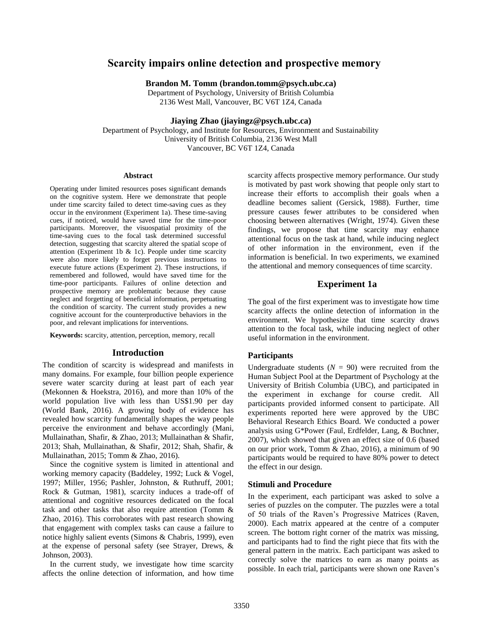# **Scarcity impairs online detection and prospective memory**

**Brandon M. Tomm (brandon.tomm@psych.ubc.ca)**

Department of Psychology, University of British Columbia 2136 West Mall, Vancouver, BC V6T 1Z4, Canada

**Jiaying Zhao (jiayingz@psych.ubc.ca)**

Department of Psychology, and Institute for Resources, Environment and Sustainability University of British Columbia, 2136 West Mall Vancouver, BC V6T 1Z4, Canada

#### **Abstract**

Operating under limited resources poses significant demands on the cognitive system. Here we demonstrate that people under time scarcity failed to detect time-saving cues as they occur in the environment (Experiment 1a). These time-saving cues, if noticed, would have saved time for the time-poor participants. Moreover, the visuospatial proximity of the time-saving cues to the focal task determined successful detection, suggesting that scarcity altered the spatial scope of attention (Experiment 1b & 1c). People under time scarcity were also more likely to forget previous instructions to execute future actions (Experiment 2). These instructions, if remembered and followed, would have saved time for the time-poor participants. Failures of online detection and prospective memory are problematic because they cause neglect and forgetting of beneficial information, perpetuating the condition of scarcity. The current study provides a new cognitive account for the counterproductive behaviors in the poor, and relevant implications for interventions.

**Keywords:** scarcity, attention, perception, memory, recall

## **Introduction**

The condition of scarcity is widespread and manifests in many domains. For example, four billion people experience severe water scarcity during at least part of each year (Mekonnen & Hoekstra, 2016), and more than 10% of the world population live with less than US\$1.90 per day (World Bank, 2016). A growing body of evidence has revealed how scarcity fundamentally shapes the way people perceive the environment and behave accordingly (Mani, Mullainathan, Shafir, & Zhao, 2013; Mullainathan & Shafir, 2013; Shah, Mullainathan, & Shafir, 2012; Shah, Shafir, & Mullainathan, 2015; Tomm & Zhao, 2016).

Since the cognitive system is limited in attentional and working memory capacity (Baddeley, 1992; Luck & Vogel, 1997; Miller, 1956; Pashler, Johnston, & Ruthruff, 2001; Rock & Gutman, 1981), scarcity induces a trade-off of attentional and cognitive resources dedicated on the focal task and other tasks that also require attention (Tomm & Zhao, 2016). This corroborates with past research showing that engagement with complex tasks can cause a failure to notice highly salient events (Simons & Chabris, 1999), even at the expense of personal safety (see Strayer, Drews, & Johnson, 2003).

In the current study, we investigate how time scarcity affects the online detection of information, and how time scarcity affects prospective memory performance. Our study is motivated by past work showing that people only start to increase their efforts to accomplish their goals when a deadline becomes salient (Gersick, 1988). Further, time pressure causes fewer attributes to be considered when choosing between alternatives (Wright, 1974). Given these findings, we propose that time scarcity may enhance attentional focus on the task at hand, while inducing neglect of other information in the environment, even if the information is beneficial. In two experiments, we examined the attentional and memory consequences of time scarcity.

## **Experiment 1a**

The goal of the first experiment was to investigate how time scarcity affects the online detection of information in the environment. We hypothesize that time scarcity draws attention to the focal task, while inducing neglect of other useful information in the environment.

## **Participants**

Undergraduate students  $(N = 90)$  were recruited from the Human Subject Pool at the Department of Psychology at the University of British Columbia (UBC), and participated in the experiment in exchange for course credit. All participants provided informed consent to participate. All experiments reported here were approved by the UBC Behavioral Research Ethics Board. We conducted a power analysis using G\*Power (Faul, Erdfelder, Lang, & Buchner, 2007), which showed that given an effect size of 0.6 (based on our prior work, Tomm & Zhao, 2016), a minimum of 90 participants would be required to have 80% power to detect the effect in our design.

## **Stimuli and Procedure**

In the experiment, each participant was asked to solve a series of puzzles on the computer. The puzzles were a total of 50 trials of the Raven's Progressive Matrices (Raven, 2000). Each matrix appeared at the centre of a computer screen. The bottom right corner of the matrix was missing, and participants had to find the right piece that fits with the general pattern in the matrix. Each participant was asked to correctly solve the matrices to earn as many points as possible. In each trial, participants were shown one Raven's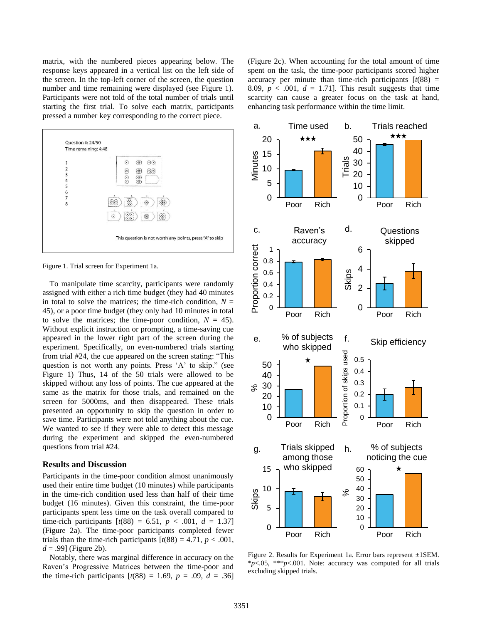matrix, with the numbered pieces appearing below. The response keys appeared in a vertical list on the left side of the screen. In the top-left corner of the screen, the question number and time remaining were displayed (see Figure 1). Participants were not told of the total number of trials until starting the first trial. To solve each matrix, participants pressed a number key corresponding to the correct piece.



Figure 1. Trial screen for Experiment 1a.

To manipulate time scarcity, participants were randomly assigned with either a rich time budget (they had 40 minutes in total to solve the matrices; the time-rich condition,  $N =$ 45), or a poor time budget (they only had 10 minutes in total to solve the matrices; the time-poor condition,  $N = 45$ ). Without explicit instruction or prompting, a time-saving cue appeared in the lower right part of the screen during the experiment. Specifically, on even-numbered trials starting from trial #24, the cue appeared on the screen stating: "This question is not worth any points. Press 'A' to skip." (see Figure 1) Thus, 14 of the 50 trials were allowed to be skipped without any loss of points. The cue appeared at the same as the matrix for those trials, and remained on the screen for 5000ms, and then disappeared. These trials presented an opportunity to skip the question in order to save time. Participants were not told anything about the cue. We wanted to see if they were able to detect this message during the experiment and skipped the even-numbered questions from trial #24.

### **Results and Discussion**

Participants in the time-poor condition almost unanimously used their entire time budget (10 minutes) while participants in the time-rich condition used less than half of their time budget (16 minutes). Given this constraint, the time-poor participants spent less time on the task overall compared to time-rich participants  $[t(88) = 6.51, p < .001, d = 1.37]$ (Figure 2a). The time-poor participants completed fewer trials than the time-rich participants  $[t(88) = 4.71, p < .001,$  $d = .99$ ] (Figure 2b).

Notably, there was marginal difference in accuracy on the Raven's Progressive Matrices between the time-poor and the time-rich participants  $[t(88) = 1.69, p = .09, d = .36]$  (Figure 2c). When accounting for the total amount of time spent on the task, the time-poor participants scored higher accuracy per minute than time-rich participants  $[t(88) =$ 8.09,  $p < .001$ ,  $d = 1.71$ . This result suggests that time scarcity can cause a greater focus on the task at hand, enhancing task performance within the time limit.



Figure 2. Results for Experiment 1a. Error bars represent ±1SEM. \**p*<.05, \*\*\**p*<.001. Note: accuracy was computed for all trials excluding skipped trials.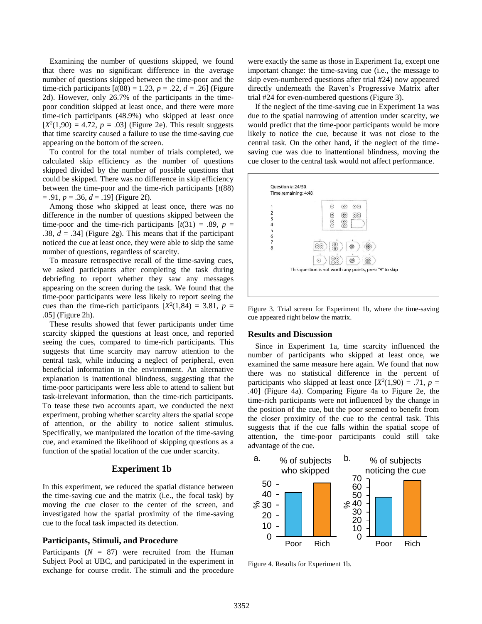Examining the number of questions skipped, we found that there was no significant difference in the average number of questions skipped between the time-poor and the time-rich participants  $[t(88) = 1.23, p = .22, d = .26]$  (Figure 2d). However, only 26.7% of the participants in the timepoor condition skipped at least once, and there were more time-rich participants (48.9%) who skipped at least once  $[X^2(1,90) = 4.72, p = .03]$  (Figure 2e). This result suggests that time scarcity caused a failure to use the time-saving cue appearing on the bottom of the screen.

To control for the total number of trials completed, we calculated skip efficiency as the number of questions skipped divided by the number of possible questions that could be skipped. There was no difference in skip efficiency between the time-poor and the time-rich participants [*t*(88) = .91, *p* = .36, *d* = .19] (Figure 2f).

Among those who skipped at least once, there was no difference in the number of questions skipped between the time-poor and the time-rich participants  $[t(31) = .89, p =$ .38, *d* = .34] (Figure 2g). This means that if the participant noticed the cue at least once, they were able to skip the same number of questions, regardless of scarcity.

To measure retrospective recall of the time-saving cues, we asked participants after completing the task during debriefing to report whether they saw any messages appearing on the screen during the task. We found that the time-poor participants were less likely to report seeing the cues than the time-rich participants  $[X^2(1,84) = 3.81, p =$ .05] (Figure 2h).

These results showed that fewer participants under time scarcity skipped the questions at least once, and reported seeing the cues, compared to time-rich participants. This suggests that time scarcity may narrow attention to the central task, while inducing a neglect of peripheral, even beneficial information in the environment. An alternative explanation is inattentional blindness, suggesting that the time-poor participants were less able to attend to salient but task-irrelevant information, than the time-rich participants. To tease these two accounts apart, we conducted the next experiment, probing whether scarcity alters the spatial scope of attention, or the ability to notice salient stimulus. Specifically, we manipulated the location of the time-saving cue, and examined the likelihood of skipping questions as a function of the spatial location of the cue under scarcity.

## **Experiment 1b**

In this experiment, we reduced the spatial distance between the time-saving cue and the matrix (i.e., the focal task) by moving the cue closer to the center of the screen, and investigated how the spatial proximity of the time-saving cue to the focal task impacted its detection.

#### **Participants, Stimuli, and Procedure**

Participants  $(N = 87)$  were recruited from the Human Subject Pool at UBC, and participated in the experiment in exchange for course credit. The stimuli and the procedure were exactly the same as those in Experiment 1a, except one important change: the time-saving cue (i.e., the message to skip even-numbered questions after trial #24) now appeared directly underneath the Raven's Progressive Matrix after trial #24 for even-numbered questions (Figure 3).

If the neglect of the time-saving cue in Experiment 1a was due to the spatial narrowing of attention under scarcity, we would predict that the time-poor participants would be more likely to notice the cue, because it was not close to the central task. On the other hand, if the neglect of the timesaving cue was due to inattentional blindness, moving the cue closer to the central task would not affect performance.



Figure 3. Trial screen for Experiment 1b, where the time-saving cue appeared right below the matrix.

#### **Results and Discussion**

Since in Experiment 1a, time scarcity influenced the number of participants who skipped at least once, we examined the same measure here again. We found that now there was no statistical difference in the percent of participants who skipped at least once  $[X^2(1,90) = .71, p =$ .40] (Figure 4a). Comparing Figure 4a to Figure 2e, the time-rich participants were not influenced by the change in the position of the cue, but the poor seemed to benefit from the closer proximity of the cue to the central task. This suggests that if the cue falls within the spatial scope of attention, the time-poor participants could still take advantage of the cue.



Figure 4. Results for Experiment 1b.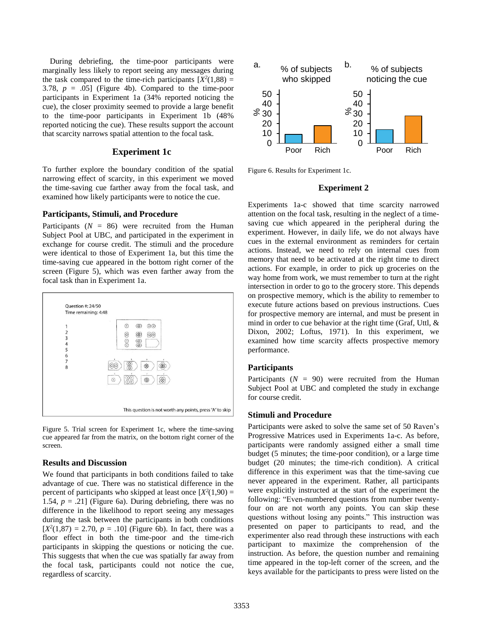During debriefing, the time-poor participants were marginally less likely to report seeing any messages during the task compared to the time-rich participants  $[X^2(1,88)] =$ 3.78,  $p = .05$ ] (Figure 4b). Compared to the time-poor participants in Experiment 1a (34% reported noticing the cue), the closer proximity seemed to provide a large benefit to the time-poor participants in Experiment 1b (48% reported noticing the cue). These results support the account that scarcity narrows spatial attention to the focal task.

## **Experiment 1c**

To further explore the boundary condition of the spatial narrowing effect of scarcity, in this experiment we moved the time-saving cue farther away from the focal task, and examined how likely participants were to notice the cue.

## **Participants, Stimuli, and Procedure**

Participants  $(N = 86)$  were recruited from the Human Subject Pool at UBC, and participated in the experiment in exchange for course credit. The stimuli and the procedure were identical to those of Experiment 1a, but this time the time-saving cue appeared in the bottom right corner of the screen (Figure 5), which was even farther away from the focal task than in Experiment 1a.



Figure 5. Trial screen for Experiment 1c, where the time-saving cue appeared far from the matrix, on the bottom right corner of the screen.

## **Results and Discussion**

We found that participants in both conditions failed to take advantage of cue. There was no statistical difference in the percent of participants who skipped at least once  $[X^2(1,90) =$ 1.54,  $p = .21$ ] (Figure 6a). During debriefing, there was no difference in the likelihood to report seeing any messages during the task between the participants in both conditions  $[X^2(1,87) = 2.70, p = .10]$  (Figure 6b). In fact, there was a floor effect in both the time-poor and the time-rich participants in skipping the questions or noticing the cue. This suggests that when the cue was spatially far away from the focal task, participants could not notice the cue, regardless of scarcity.



Figure 6. Results for Experiment 1c.

## **Experiment 2**

Experiments 1a-c showed that time scarcity narrowed attention on the focal task, resulting in the neglect of a timesaving cue which appeared in the peripheral during the experiment. However, in daily life, we do not always have cues in the external environment as reminders for certain actions. Instead, we need to rely on internal cues from memory that need to be activated at the right time to direct actions. For example, in order to pick up groceries on the way home from work, we must remember to turn at the right intersection in order to go to the grocery store. This depends on prospective memory, which is the ability to remember to execute future actions based on previous instructions. Cues for prospective memory are internal, and must be present in mind in order to cue behavior at the right time (Graf, Uttl, & Dixon, 2002; Loftus, 1971). In this experiment, we examined how time scarcity affects prospective memory performance.

## **Participants**

Participants  $(N = 90)$  were recruited from the Human Subject Pool at UBC and completed the study in exchange for course credit.

## **Stimuli and Procedure**

Participants were asked to solve the same set of 50 Raven's Progressive Matrices used in Experiments 1a-c. As before, participants were randomly assigned either a small time budget (5 minutes; the time-poor condition), or a large time budget (20 minutes; the time-rich condition). A critical difference in this experiment was that the time-saving cue never appeared in the experiment. Rather, all participants were explicitly instructed at the start of the experiment the following: "Even-numbered questions from number twentyfour on are not worth any points. You can skip these questions without losing any points." This instruction was presented on paper to participants to read, and the experimenter also read through these instructions with each participant to maximize the comprehension of the instruction. As before, the question number and remaining time appeared in the top-left corner of the screen, and the keys available for the participants to press were listed on the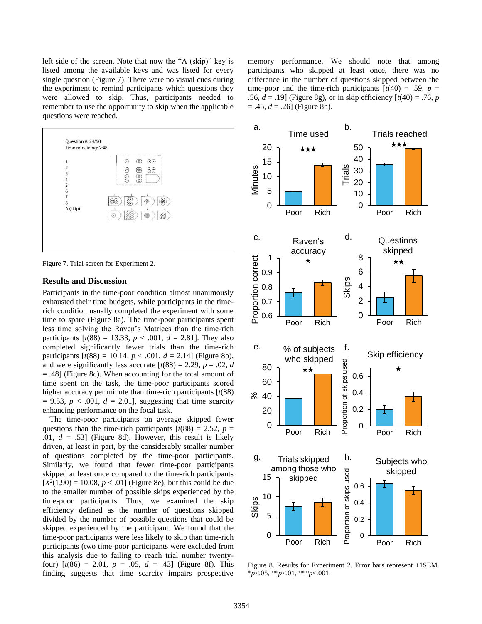left side of the screen. Note that now the "A (skip)" key is listed among the available keys and was listed for every single question (Figure 7). There were no visual cues during the experiment to remind participants which questions they were allowed to skip. Thus, participants needed to remember to use the opportunity to skip when the applicable questions were reached.



Figure 7. Trial screen for Experiment 2.

## **Results and Discussion**

Participants in the time-poor condition almost unanimously exhausted their time budgets, while participants in the timerich condition usually completed the experiment with some time to spare (Figure 8a). The time-poor participants spent less time solving the Raven's Matrices than the time-rich participants  $[t(88) = 13.33, p < .001, d = 2.81]$ . They also completed significantly fewer trials than the time-rich participants  $[t(88) = 10.14, p < .001, d = 2.14]$  (Figure 8b), and were significantly less accurate  $[t(88) = 2.29, p = .02, d$ = .48] (Figure 8c). When accounting for the total amount of time spent on the task, the time-poor participants scored higher accuracy per minute than time-rich participants [*t*(88)  $= 9.53$ ,  $p < .001$ ,  $d = 2.01$ , suggesting that time scarcity enhancing performance on the focal task.

The time-poor participants on average skipped fewer questions than the time-rich participants  $[t(88) = 2.52, p =$ .01, *d* = .53] (Figure 8d). However, this result is likely driven, at least in part, by the considerably smaller number of questions completed by the time-poor participants. Similarly, we found that fewer time-poor participants skipped at least once compared to the time-rich participants  $[X^2(1,90) = 10.08, p < .01]$  (Figure 8e), but this could be due to the smaller number of possible skips experienced by the time-poor participants. Thus, we examined the skip efficiency defined as the number of questions skipped divided by the number of possible questions that could be skipped experienced by the participant. We found that the time-poor participants were less likely to skip than time-rich participants (two time-poor participants were excluded from this analysis due to failing to reach trial number twentyfour)  $[t(86) = 2.01, p = .05, d = .43]$  (Figure 8f). This finding suggests that time scarcity impairs prospective

memory performance. We should note that among participants who skipped at least once, there was no difference in the number of questions skipped between the time-poor and the time-rich participants  $[t(40) = .59, p =$ .56, *d* = .19] (Figure 8g), or in skip efficiency [*t*(40) = .76, *p*  $= .45, d = .26$ ] (Figure 8h).



Figure 8. Results for Experiment 2. Error bars represent ±1SEM. \**p*<.05, \*\**p*<.01, \*\*\**p*<.001.